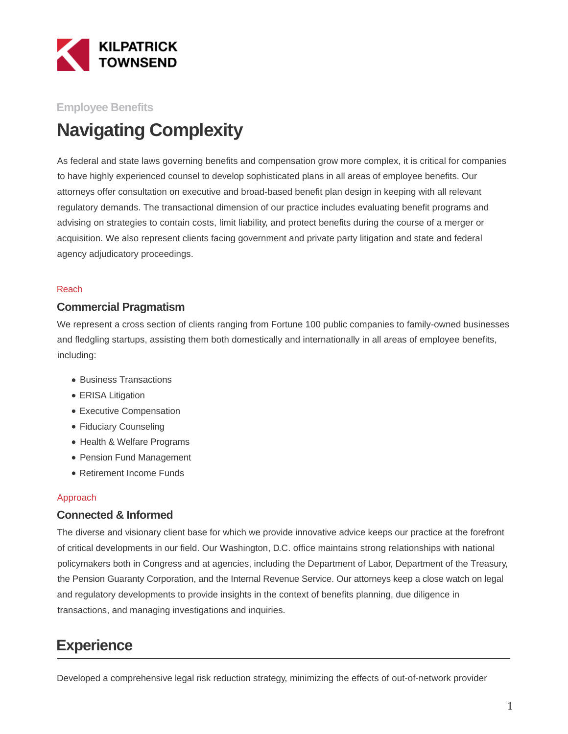

### **Employee Benefits**

# **Navigating Complexity**

As federal and state laws governing benefits and compensation grow more complex, it is critical for companies to have highly experienced counsel to develop sophisticated plans in all areas of employee benefits. Our attorneys offer consultation on executive and broad-based benefit plan design in keeping with all relevant regulatory demands. The transactional dimension of our practice includes evaluating benefit programs and advising on strategies to contain costs, limit liability, and protect benefits during the course of a merger or acquisition. We also represent clients facing government and private party litigation and state and federal agency adjudicatory proceedings.

#### Reach

#### **Commercial Pragmatism**

We represent a cross section of clients ranging from Fortune 100 public companies to family-owned businesses and fledgling startups, assisting them both domestically and internationally in all areas of employee benefits, including:

- Business Transactions
- ERISA Litigation
- Executive Compensation
- Fiduciary Counseling
- Health & Welfare Programs
- Pension Fund Management
- Retirement Income Funds

#### Approach

#### **Connected & Informed**

The diverse and visionary client base for which we provide innovative advice keeps our practice at the forefront of critical developments in our field. Our Washington, D.C. office maintains strong relationships with national policymakers both in Congress and at agencies, including the Department of Labor, Department of the Treasury, the Pension Guaranty Corporation, and the Internal Revenue Service. Our attorneys keep a close watch on legal and regulatory developments to provide insights in the context of benefits planning, due diligence in transactions, and managing investigations and inquiries.

## **Experience**

Developed a comprehensive legal risk reduction strategy, minimizing the effects of out-of-network provider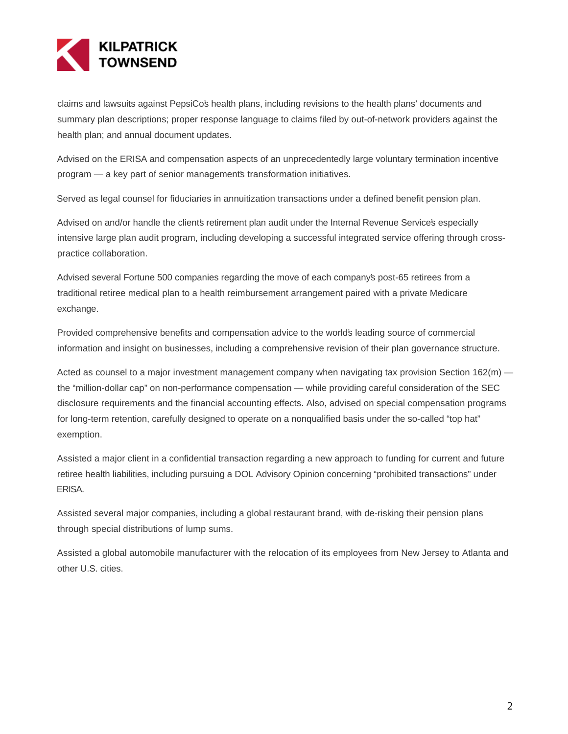

claims and lawsuits against PepsiCo's health plans, including revisions to the health plans' documents and summary plan descriptions; proper response language to claims filed by out-of-network providers against the health plan; and annual document updates.

Advised on the ERISA and compensation aspects of an unprecedentedly large voluntary termination incentive program – a key part of senior managements transformation initiatives.

Served as legal counsel for fiduciaries in annuitization transactions under a defined benefit pension plan.

Advised on and/or handle the clients retirement plan audit under the Internal Revenue Service's especially intensive large plan audit program, including developing a successful integrated service offering through crosspractice collaboration.

Advised several Fortune 500 companies regarding the move of each company's post-65 retirees from a traditional retiree medical plan to a health reimbursement arrangement paired with a private Medicare exchange.

Provided comprehensive benefits and compensation advice to the world's leading source of commercial information and insight on businesses, including a comprehensive revision of their plan governance structure.

Acted as counsel to a major investment management company when navigating tax provision Section  $162(m)$  the "million-dollar cap" on non-performance compensation — while providing careful consideration of the SEC disclosure requirements and the financial accounting effects. Also, advised on special compensation programs for long-term retention, carefully designed to operate on a nonqualified basis under the so-called "top hat" exemption.

Assisted a major client in a confidential transaction regarding a new approach to funding for current and future retiree health liabilities, including pursuing a DOL Advisory Opinion concerning "prohibited transactions" under ERISA.

Assisted several major companies, including a global restaurant brand, with de-risking their pension plans through special distributions of lump sums.

Assisted a global automobile manufacturer with the relocation of its employees from New Jersey to Atlanta and other U.S. cities.